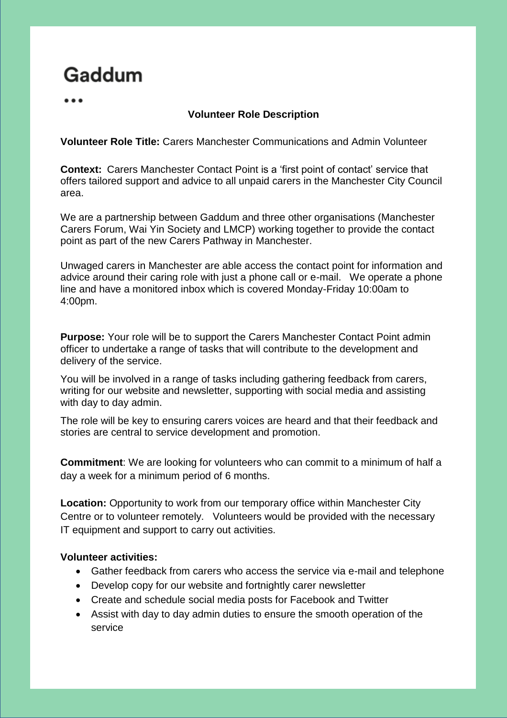# Gaddum

# **Volunteer Role Description**

#### **Volunteer Role Title:** Carers Manchester Communications and Admin Volunteer

**Context:** Carers Manchester Contact Point is a 'first point of contact' service that offers tailored support and advice to all unpaid carers in the Manchester City Council area.

We are a partnership between Gaddum and three other organisations (Manchester Carers Forum, Wai Yin Society and LMCP) working together to provide the contact point as part of the new Carers Pathway in Manchester.

Unwaged carers in Manchester are able access the contact point for information and advice around their caring role with just a phone call or e-mail. We operate a phone line and have a monitored inbox which is covered Monday-Friday 10:00am to 4:00pm.

**Purpose:** Your role will be to support the Carers Manchester Contact Point admin officer to undertake a range of tasks that will contribute to the development and delivery of the service.

You will be involved in a range of tasks including gathering feedback from carers, writing for our website and newsletter, supporting with social media and assisting with day to day admin.

The role will be key to ensuring carers voices are heard and that their feedback and stories are central to service development and promotion.

**Commitment**: We are looking for volunteers who can commit to a minimum of half a day a week for a minimum period of 6 months.

**Location:** Opportunity to work from our temporary office within Manchester City Centre or to volunteer remotely. Volunteers would be provided with the necessary IT equipment and support to carry out activities.

## **Volunteer activities:**

- Gather feedback from carers who access the service via e-mail and telephone
- Develop copy for our website and fortnightly carer newsletter
- Create and schedule social media posts for Facebook and Twitter
- Assist with day to day admin duties to ensure the smooth operation of the service